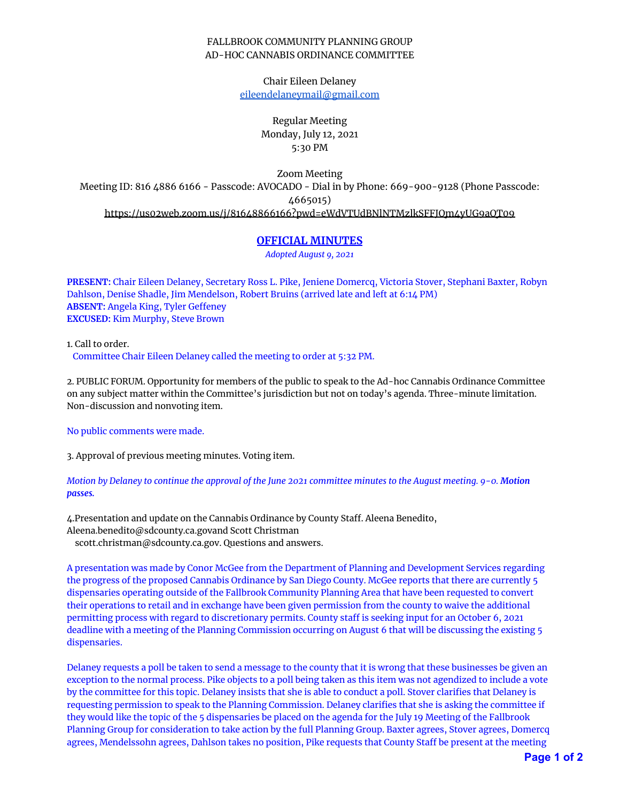## FALLBROOK COMMUNITY PLANNING GROUP AD-HOC CANNABIS ORDINANCE COMMITTEE

Chair Eileen Delaney [eileendelaneymail@gmail.com](mailto:eileendelaneymail@gmail.com)

> Regular Meeting Monday, July 12, 2021 5:30 PM

Zoom Meeting Meeting ID: 816 4886 6166 - Passcode: AVOCADO - Dial in by Phone: 669-900-9128 (Phone Passcode: 4665015) <https://us02web.zoom.us/j/81648866166?pwd=eWdVTUdBNlNTMzlkSFFJQm4yUG9aQT09>

## **OFFICIAL MINUTES**

*Adopted August 9, 2021*

**PRESENT:** Chair Eileen Delaney, Secretary Ross L. Pike, Jeniene Domercq, Victoria Stover, Stephani Baxter, Robyn Dahlson, Denise Shadle, Jim Mendelson, Robert Bruins (arrived late and left at 6:14 PM) **ABSENT:** Angela King, Tyler Geffeney **EXCUSED:** Kim Murphy, Steve Brown

1. Call to order.

Committee Chair Eileen Delaney called the meeting to order at 5:32 PM.

2. PUBLIC FORUM. Opportunity for members of the public to speak to the Ad-hoc Cannabis Ordinance Committee on any subject matter within the Committee's jurisdiction but not on today's agenda. Three-minute limitation. Non-discussion and nonvoting item.

No public comments were made.

3. Approval of previous meeting minutes. Voting item.

Motion by Delaney to continue the approval of the June 2021 committee minutes to the August meeting. 9-0. Motion *passes.*

4.Presentation and update on the Cannabis Ordinance by County Staff. Aleena Benedito, Aleena.benedito@sdcounty.ca.govand Scott Christman scott.christman@sdcounty.ca.gov. Questions and answers.

A presentation was made by Conor McGee from the Department of Planning and Development Services regarding the progress of the proposed Cannabis Ordinance by San Diego County. McGee reports that there are currently 5 dispensaries operating outside of the Fallbrook Community Planning Area that have been requested to convert their operations to retail and in exchange have been given permission from the county to waive the additional permitting process with regard to discretionary permits. County staff is seeking input for an October 6, 2021 deadline with a meeting of the Planning Commission occurring on August 6 that will be discussing the existing 5 dispensaries.

Delaney requests a poll be taken to send a message to the county that it is wrong that these businesses be given an exception to the normal process. Pike objects to a poll being taken as this item was not agendized to include a vote by the committee for this topic. Delaney insists that she is able to conduct a poll. Stover clarifies that Delaney is requesting permission to speak to the Planning Commission. Delaney clarifies that she is asking the committee if they would like the topic of the 5 dispensaries be placed on the agenda for the July 19 Meeting of the Fallbrook Planning Group for consideration to take action by the full Planning Group. Baxter agrees, Stover agrees, Domercq agrees, Mendelssohn agrees, Dahlson takes no position, Pike requests that County Staff be present at the meeting